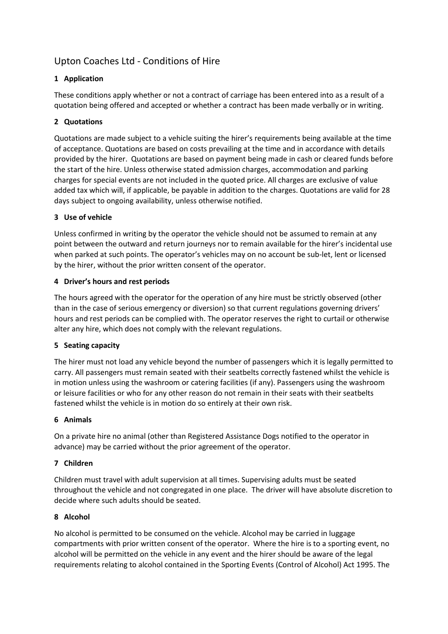# Upton Coaches Ltd - Conditions of Hire

# **1 Application**

These conditions apply whether or not a contract of carriage has been entered into as a result of a quotation being offered and accepted or whether a contract has been made verbally or in writing.

# **2 Quotations**

Quotations are made subject to a vehicle suiting the hirer's requirements being available at the time of acceptance. Quotations are based on costs prevailing at the time and in accordance with details provided by the hirer. Quotations are based on payment being made in cash or cleared funds before the start of the hire. Unless otherwise stated admission charges, accommodation and parking charges for special events are not included in the quoted price. All charges are exclusive of value added tax which will, if applicable, be payable in addition to the charges. Quotations are valid for 28 days subject to ongoing availability, unless otherwise notified.

# **3 Use of vehicle**

Unless confirmed in writing by the operator the vehicle should not be assumed to remain at any point between the outward and return journeys nor to remain available for the hirer's incidental use when parked at such points. The operator's vehicles may on no account be sub-let, lent or licensed by the hirer, without the prior written consent of the operator.

# **4 Driver's hours and rest periods**

The hours agreed with the operator for the operation of any hire must be strictly observed (other than in the case of serious emergency or diversion) so that current regulations governing drivers' hours and rest periods can be complied with. The operator reserves the right to curtail or otherwise alter any hire, which does not comply with the relevant regulations.

# **5 Seating capacity**

The hirer must not load any vehicle beyond the number of passengers which it is legally permitted to carry. All passengers must remain seated with their seatbelts correctly fastened whilst the vehicle is in motion unless using the washroom or catering facilities (if any). Passengers using the washroom or leisure facilities or who for any other reason do not remain in their seats with their seatbelts fastened whilst the vehicle is in motion do so entirely at their own risk.

# **6 Animals**

On a private hire no animal (other than Registered Assistance Dogs notified to the operator in advance) may be carried without the prior agreement of the operator.

# **7 Children**

Children must travel with adult supervision at all times. Supervising adults must be seated throughout the vehicle and not congregated in one place. The driver will have absolute discretion to decide where such adults should be seated.

# **8 Alcohol**

No alcohol is permitted to be consumed on the vehicle. Alcohol may be carried in luggage compartments with prior written consent of the operator. Where the hire is to a sporting event, no alcohol will be permitted on the vehicle in any event and the hirer should be aware of the legal requirements relating to alcohol contained in the Sporting Events (Control of Alcohol) Act 1995. The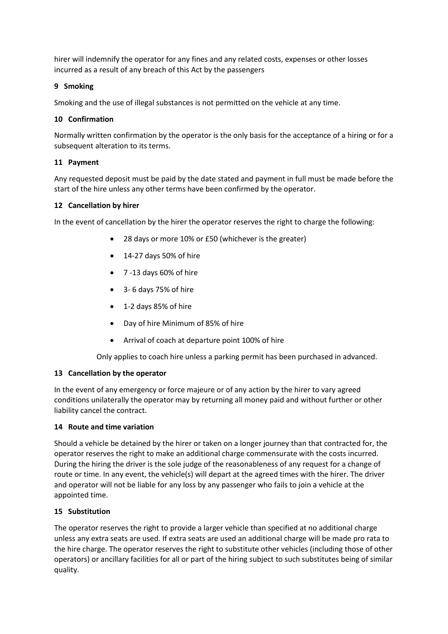hirer will indemnify the operator for any fines and any related costs, expenses or other losses incurred as a result of any breach of this Act by the passengers

# **9 Smoking**

Smoking and the use of illegal substances is not permitted on the vehicle at any time.

# **10 Confirmation**

Normally written confirmation by the operator is the only basis for the acceptance of a hiring or for a subsequent alteration to its terms.

# **11 Payment**

Any requested deposit must be paid by the date stated and payment in full must be made before the start of the hire unless any other terms have been confirmed by the operator.

#### **12 Cancellation by hirer**

In the event of cancellation by the hirer the operator reserves the right to charge the following:

- 28 days or more 10% or £50 (whichever is the greater)
- 14-27 days 50% of hire
- 7 -13 days 60% of hire
- 3- 6 days 75% of hire
- 1-2 days 85% of hire
- Day of hire Minimum of 85% of hire
- Arrival of coach at departure point 100% of hire

Only applies to coach hire unless a parking permit has been purchased in advanced.

#### **13 Cancellation by the operator**

In the event of any emergency or force majeure or of any action by the hirer to vary agreed conditions unilaterally the operator may by returning all money paid and without further or other liability cancel the contract.

#### **14 Route and time variation**

Should a vehicle be detained by the hirer or taken on a longer journey than that contracted for, the operator reserves the right to make an additional charge commensurate with the costs incurred. During the hiring the driver is the sole judge of the reasonableness of any request for a change of route or time. In any event, the vehicle(s) will depart at the agreed times with the hirer. The driver and operator will not be liable for any loss by any passenger who fails to join a vehicle at the appointed time.

#### **15 Substitution**

The operator reserves the right to provide a larger vehicle than specified at no additional charge unless any extra seats are used. If extra seats are used an additional charge will be made pro rata to the hire charge. The operator reserves the right to substitute other vehicles (including those of other operators) or ancillary facilities for all or part of the hiring subject to such substitutes being of similar quality.